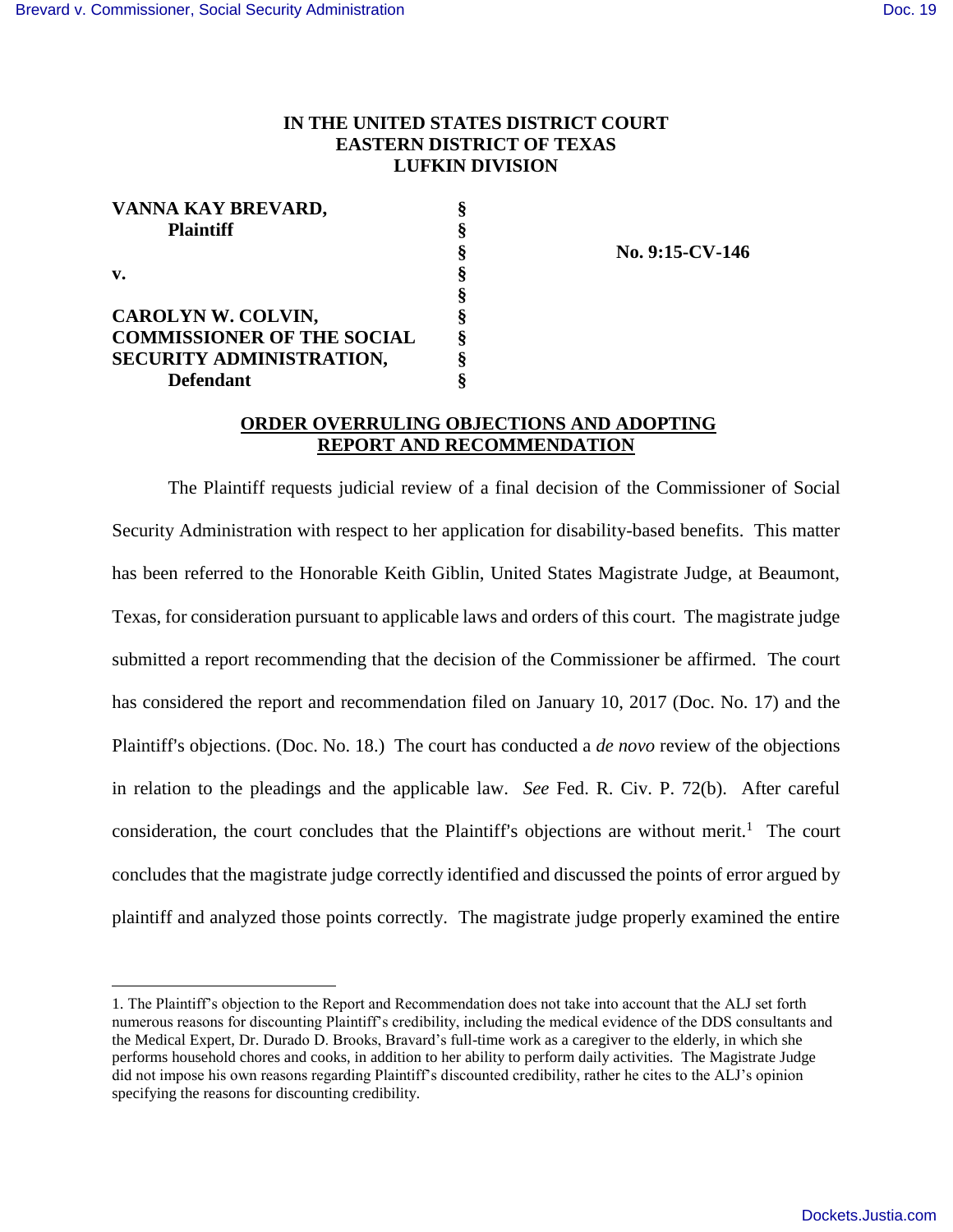$\overline{a}$ 

## **IN THE UNITED STATES DISTRICT COURT EASTERN DISTRICT OF TEXAS LUFKIN DIVISION**

| VANNA KAY BREVARD,                | ş |
|-----------------------------------|---|
| <b>Plaintiff</b><br>v.            | ş |
|                                   | ş |
|                                   | ş |
|                                   | ş |
| CAROLYN W. COLVIN,                | ş |
| <b>COMMISSIONER OF THE SOCIAL</b> | Ş |
| SECURITY ADMINISTRATION,          | ş |
| <b>Defendant</b>                  | 8 |

 **§ No. 9:15-CV-146**

## **ORDER OVERRULING OBJECTIONS AND ADOPTING REPORT AND RECOMMENDATION**

The Plaintiff requests judicial review of a final decision of the Commissioner of Social Security Administration with respect to her application for disability-based benefits. This matter has been referred to the Honorable Keith Giblin, United States Magistrate Judge, at Beaumont, Texas, for consideration pursuant to applicable laws and orders of this court. The magistrate judge submitted a report recommending that the decision of the Commissioner be affirmed. The court has considered the report and recommendation filed on January 10, 2017 (Doc. No. 17) and the Plaintiff's objections. (Doc. No. 18.) The court has conducted a *de novo* review of the objections in relation to the pleadings and the applicable law. *See* Fed. R. Civ. P. 72(b). After careful consideration, the court concludes that the Plaintiff's objections are without merit.<sup>1</sup> The court concludes that the magistrate judge correctly identified and discussed the points of error argued by plaintiff and analyzed those points correctly. The magistrate judge properly examined the entire

<sup>1.</sup> The Plaintiff's objection to the Report and Recommendation does not take into account that the ALJ set forth numerous reasons for discounting Plaintiff's credibility, including the medical evidence of the DDS consultants and the Medical Expert, Dr. Durado D. Brooks, Bravard's full-time work as a caregiver to the elderly, in which she performs household chores and cooks, in addition to her ability to perform daily activities. The Magistrate Judge did not impose his own reasons regarding Plaintiff's discounted credibility, rather he cites to the ALJ's opinion specifying the reasons for discounting credibility.